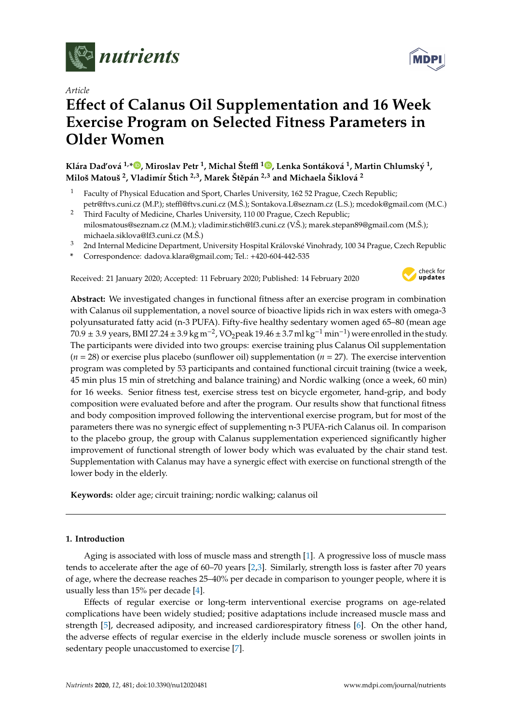

*Article*

# **E**ff**ect of Calanus Oil Supplementation and 16 Week Exercise Program on Selected Fitness Parameters in Older Women**

Klára Daďová <sup>1,</sup>[\\*](https://orcid.org/0000-0003-3164-2236)®, Miroslav Petr <sup>[1](https://orcid.org/0000-0001-7297-8145)</sup>, Michal Šteffl <sup>1</sup>®, Lenka Sontáková <sup>1</sup>, Martin Chlumský <sup>1</sup>, **Miloš Matouš <sup>2</sup> , Vladimír Štich 2,3, Marek Št ˇepán 2,3 and Michaela Šiklová 2**

- <sup>1</sup> Faculty of Physical Education and Sport, Charles University, 162 52 Prague, Czech Republic; petr@ftvs.cuni.cz (M.P.); steffl@ftvs.cuni.cz (M.Š.); Sontakova.L@seznam.cz (L.S.); mcedok@gmail.com (M.C.)
- <sup>2</sup> Third Faculty of Medicine, Charles University, 110 00 Prague, Czech Republic; milosmatous@seznam.cz (M.M.); vladimir.stich@lf3.cuni.cz (V.Š.); marek.stepan89@gmail.com (M.Š.); michaela.siklova@lf3.cuni.cz (M.Š.)
- <sup>3</sup> 2nd Internal Medicine Department, University Hospital Královské Vinohrady, 100 34 Prague, Czech Republic
- **\*** Correspondence: dadova.klara@gmail.com; Tel.: +420-604-442-535

Received: 21 January 2020; Accepted: 11 February 2020; Published: 14 February 2020



**Abstract:** We investigated changes in functional fitness after an exercise program in combination with Calanus oil supplementation, a novel source of bioactive lipids rich in wax esters with omega-3 polyunsaturated fatty acid (n-3 PUFA). Fifty-five healthy sedentary women aged 65–80 (mean age  $70.9 \pm 3.9$  years, BMI 27.24 ± 3.9 kg m<sup>−2</sup>, VO<sub>2</sub>peak 19.46 ± 3.7 ml kg<sup>−1</sup> min<sup>−1</sup>) were enrolled in the study. The participants were divided into two groups: exercise training plus Calanus Oil supplementation  $(n = 28)$  or exercise plus placebo (sunflower oil) supplementation  $(n = 27)$ . The exercise intervention program was completed by 53 participants and contained functional circuit training (twice a week, 45 min plus 15 min of stretching and balance training) and Nordic walking (once a week, 60 min) for 16 weeks. Senior fitness test, exercise stress test on bicycle ergometer, hand-grip, and body composition were evaluated before and after the program. Our results show that functional fitness and body composition improved following the interventional exercise program, but for most of the parameters there was no synergic effect of supplementing n-3 PUFA-rich Calanus oil. In comparison to the placebo group, the group with Calanus supplementation experienced significantly higher improvement of functional strength of lower body which was evaluated by the chair stand test. Supplementation with Calanus may have a synergic effect with exercise on functional strength of the lower body in the elderly.

**Keywords:** older age; circuit training; nordic walking; calanus oil

## **1. Introduction**

Aging is associated with loss of muscle mass and strength [\[1\]](#page-8-0). A progressive loss of muscle mass tends to accelerate after the age of 60–70 years [\[2](#page-8-1)[,3\]](#page-8-2). Similarly, strength loss is faster after 70 years of age, where the decrease reaches 25–40% per decade in comparison to younger people, where it is usually less than 15% per decade [\[4\]](#page-8-3).

Effects of regular exercise or long-term interventional exercise programs on age-related complications have been widely studied; positive adaptations include increased muscle mass and strength [\[5\]](#page-8-4), decreased adiposity, and increased cardiorespiratory fitness [\[6\]](#page-8-5). On the other hand, the adverse effects of regular exercise in the elderly include muscle soreness or swollen joints in sedentary people unaccustomed to exercise [\[7\]](#page-8-6).

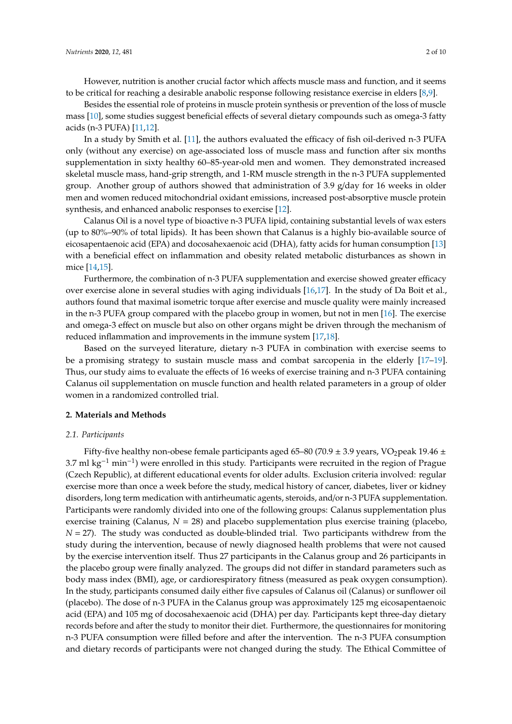However, nutrition is another crucial factor which affects muscle mass and function, and it seems to be critical for reaching a desirable anabolic response following resistance exercise in elders [\[8](#page-8-7)[,9\]](#page-8-8).

Besides the essential role of proteins in muscle protein synthesis or prevention of the loss of muscle mass [\[10\]](#page-8-9), some studies suggest beneficial effects of several dietary compounds such as omega-3 fatty acids (n-3 PUFA) [\[11](#page-8-10)[,12\]](#page-8-11).

In a study by Smith et al. [\[11\]](#page-8-10), the authors evaluated the efficacy of fish oil-derived n-3 PUFA only (without any exercise) on age-associated loss of muscle mass and function after six months supplementation in sixty healthy 60–85-year-old men and women. They demonstrated increased skeletal muscle mass, hand-grip strength, and 1-RM muscle strength in the n-3 PUFA supplemented group. Another group of authors showed that administration of 3.9 g/day for 16 weeks in older men and women reduced mitochondrial oxidant emissions, increased post-absorptive muscle protein synthesis, and enhanced anabolic responses to exercise [\[12\]](#page-8-11).

Calanus Oil is a novel type of bioactive n-3 PUFA lipid, containing substantial levels of wax esters (up to 80%–90% of total lipids). It has been shown that Calanus is a highly bio-available source of eicosapentaenoic acid (EPA) and docosahexaenoic acid (DHA), fatty acids for human consumption [\[13\]](#page-8-12) with a beneficial effect on inflammation and obesity related metabolic disturbances as shown in mice [\[14,](#page-8-13)[15\]](#page-8-14).

Furthermore, the combination of n-3 PUFA supplementation and exercise showed greater efficacy over exercise alone in several studies with aging individuals [\[16,](#page-8-15)[17\]](#page-8-16). In the study of Da Boit et al., authors found that maximal isometric torque after exercise and muscle quality were mainly increased in the n-3 PUFA group compared with the placebo group in women, but not in men [\[16\]](#page-8-15). The exercise and omega-3 effect on muscle but also on other organs might be driven through the mechanism of reduced inflammation and improvements in the immune system [\[17,](#page-8-16)[18\]](#page-8-17).

Based on the surveyed literature, dietary n-3 PUFA in combination with exercise seems to be a promising strategy to sustain muscle mass and combat sarcopenia in the elderly [\[17–](#page-8-16)[19\]](#page-8-18). Thus, our study aims to evaluate the effects of 16 weeks of exercise training and n-3 PUFA containing Calanus oil supplementation on muscle function and health related parameters in a group of older women in a randomized controlled trial.

#### **2. Materials and Methods**

#### *2.1. Participants*

Fifty-five healthy non-obese female participants aged 65–80 (70.9  $\pm$  3.9 years, VO<sub>2</sub> peak 19.46  $\pm$ 3.7 ml kg−<sup>1</sup> min−<sup>1</sup> ) were enrolled in this study. Participants were recruited in the region of Prague (Czech Republic), at different educational events for older adults. Exclusion criteria involved: regular exercise more than once a week before the study, medical history of cancer, diabetes, liver or kidney disorders, long term medication with antirheumatic agents, steroids, and/or n-3 PUFA supplementation. Participants were randomly divided into one of the following groups: Calanus supplementation plus exercise training (Calanus, *N* = 28) and placebo supplementation plus exercise training (placebo, *N* = 27). The study was conducted as double-blinded trial. Two participants withdrew from the study during the intervention, because of newly diagnosed health problems that were not caused by the exercise intervention itself. Thus 27 participants in the Calanus group and 26 participants in the placebo group were finally analyzed. The groups did not differ in standard parameters such as body mass index (BMI), age, or cardiorespiratory fitness (measured as peak oxygen consumption). In the study, participants consumed daily either five capsules of Calanus oil (Calanus) or sunflower oil (placebo). The dose of n-3 PUFA in the Calanus group was approximately 125 mg eicosapentaenoic acid (EPA) and 105 mg of docosahexaenoic acid (DHA) per day. Participants kept three-day dietary records before and after the study to monitor their diet. Furthermore, the questionnaires for monitoring n-3 PUFA consumption were filled before and after the intervention. The n-3 PUFA consumption and dietary records of participants were not changed during the study. The Ethical Committee of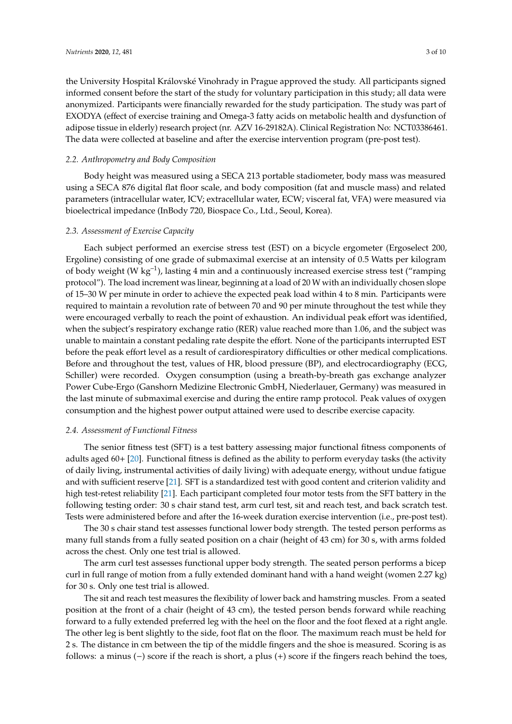the University Hospital Královské Vinohrady in Prague approved the study. All participants signed informed consent before the start of the study for voluntary participation in this study; all data were anonymized. Participants were financially rewarded for the study participation. The study was part of EXODYA (effect of exercise training and Omega-3 fatty acids on metabolic health and dysfunction of adipose tissue in elderly) research project (nr. AZV 16-29182A). Clinical Registration No: NCT03386461. The data were collected at baseline and after the exercise intervention program (pre-post test).

#### *2.2. Anthropometry and Body Composition*

Body height was measured using a SECA 213 portable stadiometer, body mass was measured using a SECA 876 digital flat floor scale, and body composition (fat and muscle mass) and related parameters (intracellular water, ICV; extracellular water, ECW; visceral fat, VFA) were measured via bioelectrical impedance (InBody 720, Biospace Co., Ltd., Seoul, Korea).

### *2.3. Assessment of Exercise Capacity*

Each subject performed an exercise stress test (EST) on a bicycle ergometer (Ergoselect 200, Ergoline) consisting of one grade of submaximal exercise at an intensity of 0.5 Watts per kilogram of body weight (W  $kg^{-1}$ ), lasting 4 min and a continuously increased exercise stress test ("ramping protocol"). The load increment was linear, beginning at a load of 20 W with an individually chosen slope of 15–30 W per minute in order to achieve the expected peak load within 4 to 8 min. Participants were required to maintain a revolution rate of between 70 and 90 per minute throughout the test while they were encouraged verbally to reach the point of exhaustion. An individual peak effort was identified, when the subject's respiratory exchange ratio (RER) value reached more than 1.06, and the subject was unable to maintain a constant pedaling rate despite the effort. None of the participants interrupted EST before the peak effort level as a result of cardiorespiratory difficulties or other medical complications. Before and throughout the test, values of HR, blood pressure (BP), and electrocardiography (ECG, Schiller) were recorded. Oxygen consumption (using a breath-by-breath gas exchange analyzer Power Cube-Ergo (Ganshorn Medizine Electronic GmbH, Niederlauer, Germany) was measured in the last minute of submaximal exercise and during the entire ramp protocol. Peak values of oxygen consumption and the highest power output attained were used to describe exercise capacity.

#### *2.4. Assessment of Functional Fitness*

The senior fitness test (SFT) is a test battery assessing major functional fitness components of adults aged 60+ [\[20\]](#page-8-19). Functional fitness is defined as the ability to perform everyday tasks (the activity of daily living, instrumental activities of daily living) with adequate energy, without undue fatigue and with sufficient reserve [\[21\]](#page-9-0). SFT is a standardized test with good content and criterion validity and high test-retest reliability [\[21\]](#page-9-0). Each participant completed four motor tests from the SFT battery in the following testing order: 30 s chair stand test, arm curl test, sit and reach test, and back scratch test. Tests were administered before and after the 16-week duration exercise intervention (i.e., pre-post test).

The 30 s chair stand test assesses functional lower body strength. The tested person performs as many full stands from a fully seated position on a chair (height of 43 cm) for 30 s, with arms folded across the chest. Only one test trial is allowed.

The arm curl test assesses functional upper body strength. The seated person performs a bicep curl in full range of motion from a fully extended dominant hand with a hand weight (women 2.27 kg) for 30 s. Only one test trial is allowed.

The sit and reach test measures the flexibility of lower back and hamstring muscles. From a seated position at the front of a chair (height of 43 cm), the tested person bends forward while reaching forward to a fully extended preferred leg with the heel on the floor and the foot flexed at a right angle. The other leg is bent slightly to the side, foot flat on the floor. The maximum reach must be held for 2 s. The distance in cm between the tip of the middle fingers and the shoe is measured. Scoring is as follows: a minus (−) score if the reach is short, a plus (+) score if the fingers reach behind the toes,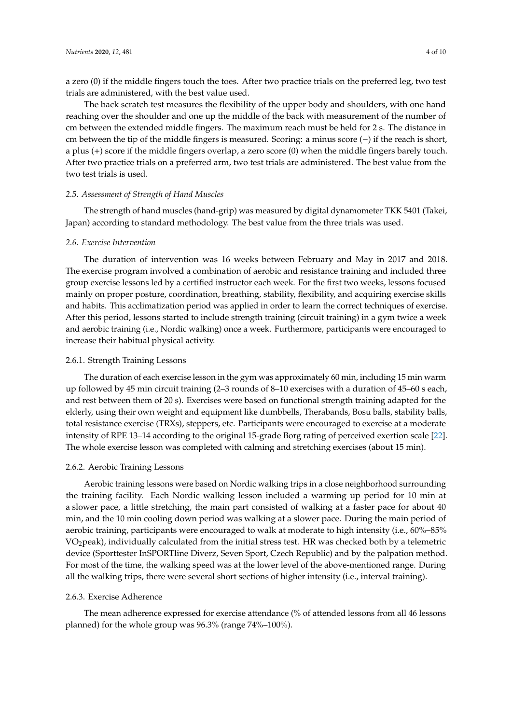a zero (0) if the middle fingers touch the toes. After two practice trials on the preferred leg, two test trials are administered, with the best value used.

The back scratch test measures the flexibility of the upper body and shoulders, with one hand reaching over the shoulder and one up the middle of the back with measurement of the number of cm between the extended middle fingers. The maximum reach must be held for 2 s. The distance in cm between the tip of the middle fingers is measured. Scoring: a minus score (−) if the reach is short, a plus (+) score if the middle fingers overlap, a zero score (0) when the middle fingers barely touch. After two practice trials on a preferred arm, two test trials are administered. The best value from the two test trials is used.

#### *2.5. Assessment of Strength of Hand Muscles*

The strength of hand muscles (hand-grip) was measured by digital dynamometer TKK 5401 (Takei, Japan) according to standard methodology. The best value from the three trials was used.

### *2.6. Exercise Intervention*

The duration of intervention was 16 weeks between February and May in 2017 and 2018. The exercise program involved a combination of aerobic and resistance training and included three group exercise lessons led by a certified instructor each week. For the first two weeks, lessons focused mainly on proper posture, coordination, breathing, stability, flexibility, and acquiring exercise skills and habits. This acclimatization period was applied in order to learn the correct techniques of exercise. After this period, lessons started to include strength training (circuit training) in a gym twice a week and aerobic training (i.e., Nordic walking) once a week. Furthermore, participants were encouraged to increase their habitual physical activity.

#### 2.6.1. Strength Training Lessons

The duration of each exercise lesson in the gym was approximately 60 min, including 15 min warm up followed by 45 min circuit training (2–3 rounds of 8–10 exercises with a duration of 45–60 s each, and rest between them of 20 s). Exercises were based on functional strength training adapted for the elderly, using their own weight and equipment like dumbbells, Therabands, Bosu balls, stability balls, total resistance exercise (TRXs), steppers, etc. Participants were encouraged to exercise at a moderate intensity of RPE 13–14 according to the original 15-grade Borg rating of perceived exertion scale [\[22\]](#page-9-1). The whole exercise lesson was completed with calming and stretching exercises (about 15 min).

#### 2.6.2. Aerobic Training Lessons

Aerobic training lessons were based on Nordic walking trips in a close neighborhood surrounding the training facility. Each Nordic walking lesson included a warming up period for 10 min at a slower pace, a little stretching, the main part consisted of walking at a faster pace for about 40 min, and the 10 min cooling down period was walking at a slower pace. During the main period of aerobic training, participants were encouraged to walk at moderate to high intensity (i.e., 60%–85% VO2peak), individually calculated from the initial stress test. HR was checked both by a telemetric device (Sporttester InSPORTline Diverz, Seven Sport, Czech Republic) and by the palpation method. For most of the time, the walking speed was at the lower level of the above-mentioned range. During all the walking trips, there were several short sections of higher intensity (i.e., interval training).

#### 2.6.3. Exercise Adherence

The mean adherence expressed for exercise attendance (% of attended lessons from all 46 lessons planned) for the whole group was 96.3% (range 74%–100%).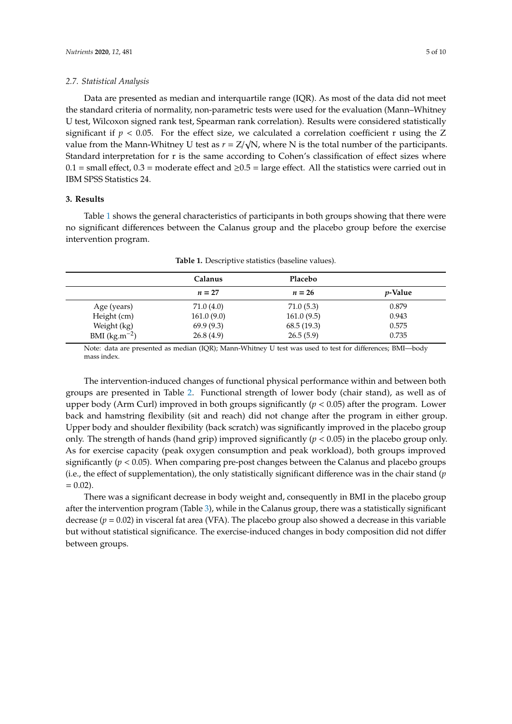Data are presented as median and interquartile range (IQR). As most of the data did not meet the standard criteria of normality, non-parametric tests were used for the evaluation (Mann–Whitney U test, Wilcoxon signed rank test, Spearman rank correlation). Results were considered statistically significant if  $p < 0.05$ . For the effect size, we calculated a correlation coefficient r using the Z value from the Mann-Whitney U test as  $r = \mathbb{Z}/\sqrt{\mathsf{N}}$ , where N is the total number of the participants. Standard interpretation for r is the same according to Cohen's classification of effect sizes where  $0.1$  = small effect,  $0.3$  = moderate effect and  $\geq 0.5$  = large effect. All the statistics were carried out in IBM SPSS Statistics 24.

#### **3. Results**

Table [1](#page-4-0) shows the general characteristics of participants in both groups showing that there were no significant differences between the Calanus group and the placebo group before the exercise intervention program.

<span id="page-4-0"></span>

|                   | Calanus    | Placebo    |                 |
|-------------------|------------|------------|-----------------|
|                   | $n=27$     | $n=26$     | <i>p</i> -Value |
| Age (years)       | 71.0 (4.0) | 71.0(5.3)  | 0.879           |
| Height (cm)       | 161.0(9.0) | 161.0(9.5) | 0.943           |
| Weight (kg)       | 69.9(9.3)  | 68.5(19.3) | 0.575           |
| BMI $(kg.m^{-2})$ | 26.8(4.9)  | 26.5(5.9)  | 0.735           |

**Table 1.** Descriptive statistics (baseline values).

Note: data are presented as median (IQR); Mann-Whitney U test was used to test for differences; BMI—body mass index.

The intervention-induced changes of functional physical performance within and between both groups are presented in Table [2.](#page-5-0) Functional strength of lower body (chair stand), as well as of upper body (Arm Curl) improved in both groups significantly  $(p < 0.05)$  after the program. Lower back and hamstring flexibility (sit and reach) did not change after the program in either group. Upper body and shoulder flexibility (back scratch) was significantly improved in the placebo group only. The strength of hands (hand grip) improved significantly  $(p < 0.05)$  in the placebo group only. As for exercise capacity (peak oxygen consumption and peak workload), both groups improved significantly  $(p < 0.05)$ . When comparing pre-post changes between the Calanus and placebo groups (i.e., the effect of supplementation), the only statistically significant difference was in the chair stand (*p*  $= 0.02$ ).

There was a significant decrease in body weight and, consequently in BMI in the placebo group after the intervention program (Table [3\)](#page-5-1), while in the Calanus group, there was a statistically significant decrease ( $p = 0.02$ ) in visceral fat area (VFA). The placebo group also showed a decrease in this variable but without statistical significance. The exercise-induced changes in body composition did not differ between groups.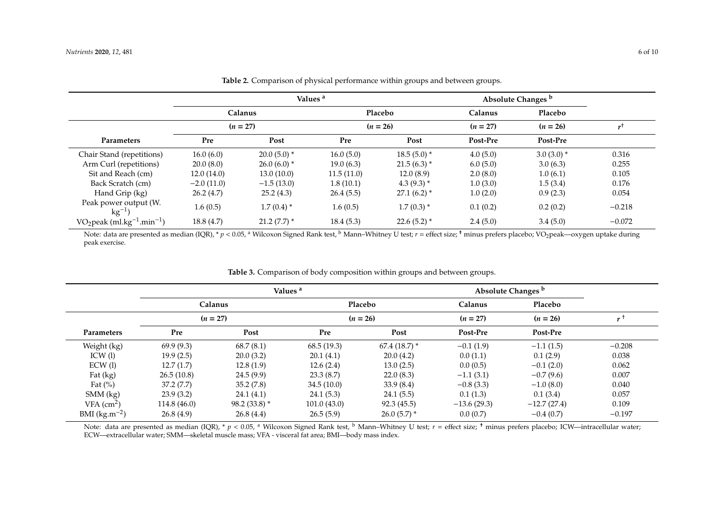|                                                                | Values <sup>a</sup> |               |            |               | Absolute Changes b |              |               |
|----------------------------------------------------------------|---------------------|---------------|------------|---------------|--------------------|--------------|---------------|
|                                                                |                     | Calanus       | Placebo    |               | Calanus            | Placebo      |               |
|                                                                | $(n = 27)$          |               | $(n = 26)$ |               | $(n = 27)$         | $(n = 26)$   | $r^{\dagger}$ |
| <b>Parameters</b>                                              | Pre                 | Post          | Pre        | Post          | Post-Pre           | Post-Pre     |               |
| Chair Stand (repetitions)                                      | 16.0(6.0)           | $20.0(5.0)*$  | 16.0(5.0)  | $18.5(5.0)$ * | 4.0(5.0)           | $3.0(3.0)$ * | 0.316         |
| Arm Curl (repetitions)                                         | 20.0(8.0)           | $26.0(6.0)*$  | 19.0(6.3)  | $21.5(6.3)$ * | 6.0(5.0)           | 3.0(6.3)     | 0.255         |
| Sit and Reach (cm)                                             | 12.0(14.0)          | 13.0(10.0)    | 11.5(11.0) | 12.0(8.9)     | 2.0(8.0)           | 1.0(6.1)     | 0.105         |
| Back Scratch (cm)                                              | $-2.0(11.0)$        | $-1.5(13.0)$  | 1.8(10.1)  | 4.3 $(9.3)$ * | 1.0(3.0)           | 1.5(3.4)     | 0.176         |
| Hand Grip (kg)                                                 | 26.2(4.7)           | 25.2(4.3)     | 26.4(5.5)  | $27.1(6.2)$ * | 1.0(2.0)           | 0.9(2.3)     | 0.054         |
| Peak power output (W.<br>$kg^{-1}$ )                           | 1.6(0.5)            | $1.7(0.4)$ *  | 1.6(0.5)   | $1.7(0.3)$ *  | 0.1(0.2)           | 0.2(0.2)     | $-0.218$      |
| VO <sub>2</sub> peak (ml.kg <sup>-1</sup> .min <sup>-1</sup> ) | 18.8(4.7)           | $21.2(7.7)$ * | 18.4(5.3)  | $22.6(5.2)$ * | 2.4(5.0)           | 3.4(5.0)     | $-0.072$      |

**Table 2.** Comparison of physical performance within groups and between groups.

Note: data are presented as median (IQR), \*  $p < 0.05$ , <sup>a</sup> Wilcoxon Signed Rank test, <sup>b</sup> Mann–Whitney U test;  $r =$  effect size; <sup>†</sup> minus prefers placebo; VO<sub>2</sub>peak—oxygen uptake during peak exercise.

## **Table 3.** Comparison of body composition within groups and between groups.

<span id="page-5-0"></span>

|                          | Values <sup>a</sup> |                |             |                 | Absolute Changes b |               |                    |
|--------------------------|---------------------|----------------|-------------|-----------------|--------------------|---------------|--------------------|
|                          |                     | Calanus        | Placebo     |                 | Calanus            | Placebo       |                    |
|                          | $(n = 27)$          |                | $(n = 26)$  |                 | $(n = 27)$         | $(n = 26)$    | $\boldsymbol{r}$ t |
| <b>Parameters</b>        | Pre                 | Post           | Pre         | Post            | Post-Pre           | Post-Pre      |                    |
| Weight (kg)              | 69.9(9.3)           | 68.7(8.1)      | 68.5(19.3)  | 67.4 $(18.7)$ * | $-0.1(1.9)$        | $-1.1(1.5)$   | $-0.208$           |
| ICW(1)                   | 19.9(2.5)           | 20.0(3.2)      | 20.1(4.1)   | 20.0(4.2)       | 0.0(1.1)           | 0.1(2.9)      | 0.038              |
| ECW(1)                   | 12.7(1.7)           | 12.8(1.9)      | 12.6(2.4)   | 13.0(2.5)       | 0.0(0.5)           | $-0.1(2.0)$   | 0.062              |
| Fat $(kg)$               | 26.5(10.8)          | 24.5(9.9)      | 23.3(8.7)   | 22.0(8.3)       | $-1.1(3.1)$        | $-0.7(9.6)$   | 0.007              |
| Fat $(\%)$               | 37.2(7.7)           | 35.2(7.8)      | 34.5(10.0)  | 33.9(8.4)       | $-0.8(3.3)$        | $-1.0(8.0)$   | 0.040              |
| $SMM$ (kg)               | 23.9(3.2)           | 24.1(4.1)      | 24.1(5.3)   | 24.1(5.5)       | 0.1(1.3)           | 0.1(3.4)      | 0.057              |
| $VFA$ (cm <sup>2</sup> ) | 114.8(46.0)         | $98.2(33.8)$ * | 101.0(43.0) | 92.3(45.5)      | $-13.6(29.3)$      | $-12.7(27.4)$ | 0.109              |
| BMI $(kg.m^{-2})$        | 26.8(4.9)           | 26.8(4.4)      | 26.5(5.9)   | $26.0(5.7)$ *   | 0.0(0.7)           | $-0.4(0.7)$   | $-0.197$           |

<span id="page-5-1"></span>Note: data are presented as median (IQR), \* *p* < 0.05, <sup>a</sup> Wilcoxon Signed Rank test, <sup>b</sup> Mann–Whitney U test; *r* = effect size; <sup>†</sup> minus prefers placebo; ICW—intracellular water; ECW—extracellular water; SMM—skeletal muscle mass; VFA - visceral fat area; BMI—body mass index.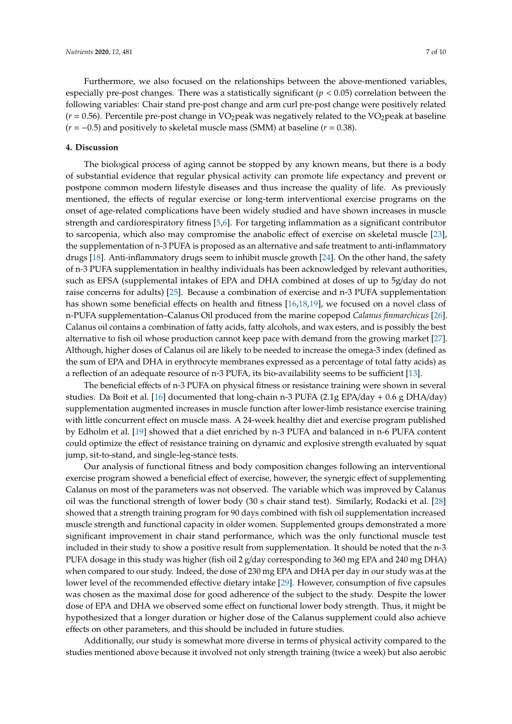Furthermore, we also focused on the relationships between the above-mentioned variables, especially pre-post changes. There was a statistically significant (*p* < 0.05) correlation between the following variables: Chair stand pre-post change and arm curl pre-post change were positively related  $(r = 0.56)$ . Percentile pre-post change in VO<sub>2</sub> peak was negatively related to the VO<sub>2</sub> peak at baseline (*r* = −0.5) and positively to skeletal muscle mass (SMM) at baseline (*r* = 0.38).

### **4. Discussion**

The biological process of aging cannot be stopped by any known means, but there is a body of substantial evidence that regular physical activity can promote life expectancy and prevent or postpone common modern lifestyle diseases and thus increase the quality of life. As previously mentioned, the effects of regular exercise or long-term interventional exercise programs on the onset of age-related complications have been widely studied and have shown increases in muscle strength and cardiorespiratory fitness [\[5,](#page-8-4)[6\]](#page-8-5). For targeting inflammation as a significant contributor to sarcopenia, which also may compromise the anabolic effect of exercise on skeletal muscle [\[23\]](#page-9-2), the supplementation of n-3 PUFA is proposed as an alternative and safe treatment to anti-inflammatory drugs [\[18\]](#page-8-17). Anti-inflammatory drugs seem to inhibit muscle growth [\[24\]](#page-9-3). On the other hand, the safety of n-3 PUFA supplementation in healthy individuals has been acknowledged by relevant authorities, such as EFSA (supplemental intakes of EPA and DHA combined at doses of up to 5g/day do not raise concerns for adults) [\[25\]](#page-9-4). Because a combination of exercise and n-3 PUFA supplementation has shown some beneficial effects on health and fitness [\[16](#page-8-15)[,18](#page-8-17)[,19\]](#page-8-18), we focused on a novel class of n-PUFA supplementation–Calanus Oil produced from the marine copepod *Calanus finmarchicus* [\[26\]](#page-9-5). Calanus oil contains a combination of fatty acids, fatty alcohols, and wax esters, and is possibly the best alternative to fish oil whose production cannot keep pace with demand from the growing market [\[27\]](#page-9-6). Although, higher doses of Calanus oil are likely to be needed to increase the omega-3 index (defined as the sum of EPA and DHA in erythrocyte membranes expressed as a percentage of total fatty acids) as a reflection of an adequate resource of n-3 PUFA, its bio-availability seems to be sufficient [\[13\]](#page-8-12).

The beneficial effects of n-3 PUFA on physical fitness or resistance training were shown in several studies. Da Boit et al. [\[16\]](#page-8-15) documented that long-chain n-3 PUFA (2.1g EPA/day + 0.6 g DHA/day) supplementation augmented increases in muscle function after lower-limb resistance exercise training with little concurrent effect on muscle mass. A 24-week healthy diet and exercise program published by Edholm et al. [\[19\]](#page-8-18) showed that a diet enriched by n-3 PUFA and balanced in n-6 PUFA content could optimize the effect of resistance training on dynamic and explosive strength evaluated by squat jump, sit-to-stand, and single-leg-stance tests.

Our analysis of functional fitness and body composition changes following an interventional exercise program showed a beneficial effect of exercise, however, the synergic effect of supplementing Calanus on most of the parameters was not observed. The variable which was improved by Calanus oil was the functional strength of lower body (30 s chair stand test). Similarly, Rodacki et al. [\[28\]](#page-9-7) showed that a strength training program for 90 days combined with fish oil supplementation increased muscle strength and functional capacity in older women. Supplemented groups demonstrated a more significant improvement in chair stand performance, which was the only functional muscle test included in their study to show a positive result from supplementation. It should be noted that the n-3 PUFA dosage in this study was higher (fish oil 2 g/day corresponding to 360 mg EPA and 240 mg DHA) when compared to our study. Indeed, the dose of 230 mg EPA and DHA per day in our study was at the lower level of the recommended effective dietary intake [\[29\]](#page-9-8). However, consumption of five capsules was chosen as the maximal dose for good adherence of the subject to the study. Despite the lower dose of EPA and DHA we observed some effect on functional lower body strength. Thus, it might be hypothesized that a longer duration or higher dose of the Calanus supplement could also achieve effects on other parameters, and this should be included in future studies.

Additionally, our study is somewhat more diverse in terms of physical activity compared to the studies mentioned above because it involved not only strength training (twice a week) but also aerobic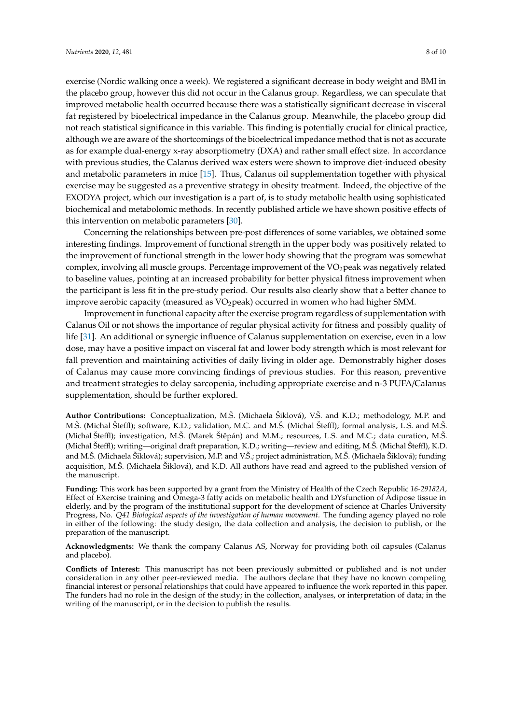exercise (Nordic walking once a week). We registered a significant decrease in body weight and BMI in the placebo group, however this did not occur in the Calanus group. Regardless, we can speculate that improved metabolic health occurred because there was a statistically significant decrease in visceral fat registered by bioelectrical impedance in the Calanus group. Meanwhile, the placebo group did not reach statistical significance in this variable. This finding is potentially crucial for clinical practice, although we are aware of the shortcomings of the bioelectrical impedance method that is not as accurate as for example dual-energy x-ray absorptiometry (DXA) and rather small effect size. In accordance with previous studies, the Calanus derived wax esters were shown to improve diet-induced obesity and metabolic parameters in mice [\[15\]](#page-8-14). Thus, Calanus oil supplementation together with physical exercise may be suggested as a preventive strategy in obesity treatment. Indeed, the objective of the EXODYA project, which our investigation is a part of, is to study metabolic health using sophisticated biochemical and metabolomic methods. In recently published article we have shown positive effects of this intervention on metabolic parameters [\[30\]](#page-9-9).

Concerning the relationships between pre-post differences of some variables, we obtained some interesting findings. Improvement of functional strength in the upper body was positively related to the improvement of functional strength in the lower body showing that the program was somewhat complex, involving all muscle groups. Percentage improvement of the VO<sub>2</sub>peak was negatively related to baseline values, pointing at an increased probability for better physical fitness improvement when the participant is less fit in the pre-study period. Our results also clearly show that a better chance to improve aerobic capacity (measured as  $VO_2$  peak) occurred in women who had higher SMM.

Improvement in functional capacity after the exercise program regardless of supplementation with Calanus Oil or not shows the importance of regular physical activity for fitness and possibly quality of life [\[31\]](#page-9-10). An additional or synergic influence of Calanus supplementation on exercise, even in a low dose, may have a positive impact on visceral fat and lower body strength which is most relevant for fall prevention and maintaining activities of daily living in older age. Demonstrably higher doses of Calanus may cause more convincing findings of previous studies. For this reason, preventive and treatment strategies to delay sarcopenia, including appropriate exercise and n-3 PUFA/Calanus supplementation, should be further explored.

**Author Contributions:** Conceptualization, M.Š. (Michaela Šiklová), V.Š. and K.D.; methodology, M.P. and M.Š. (Michal Šteffl); software, K.D.; validation, M.C. and M.Š. (Michal Šteffl); formal analysis, L.S. and M.Š. (Michal Šteffl); investigation, M.Š. (Marek Štěpán) and M.M.; resources, L.S. and M.C.; data curation, M.Š. (Michal Šteffl); writing—original draft preparation, K.D.; writing—review and editing, M.Š. (Michal Šteffl), K.D. and M.Š. (Michaela Šiklová); supervision, M.P. and V.Š.; project administration, M.Š. (Michaela Šiklová); funding acquisition, M.Š. (Michaela Šiklová), and K.D. All authors have read and agreed to the published version of the manuscript.

**Funding:** This work has been supported by a grant from the Ministry of Health of the Czech Republic *16-29182A,* Effect of EXercise training and Omega-3 fatty acids on metabolic health and DYsfunction of Adipose tissue in elderly, and by the program of the institutional support for the development of science at Charles University Progress, No. *Q41 Biological aspects of the investigation of human movement.* The funding agency played no role in either of the following: the study design, the data collection and analysis, the decision to publish, or the preparation of the manuscript.

**Acknowledgments:** We thank the company Calanus AS, Norway for providing both oil capsules (Calanus and placebo).

**Conflicts of Interest:** This manuscript has not been previously submitted or published and is not under consideration in any other peer-reviewed media. The authors declare that they have no known competing financial interest or personal relationships that could have appeared to influence the work reported in this paper. The funders had no role in the design of the study; in the collection, analyses, or interpretation of data; in the writing of the manuscript, or in the decision to publish the results.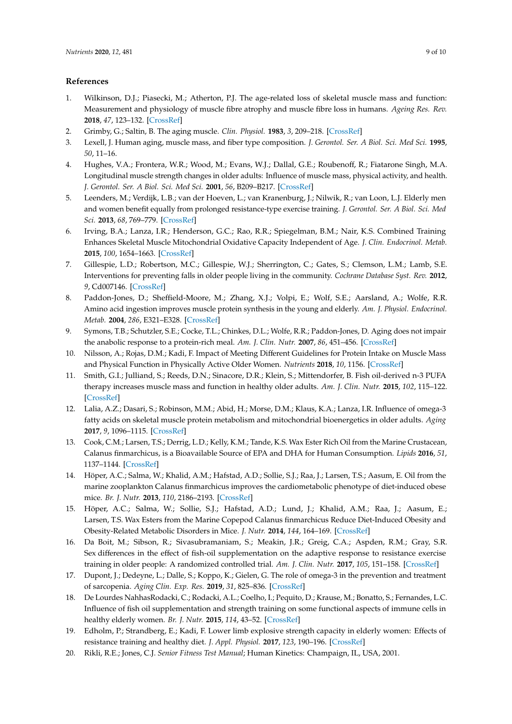# **References**

- <span id="page-8-0"></span>1. Wilkinson, D.J.; Piasecki, M.; Atherton, P.J. The age-related loss of skeletal muscle mass and function: Measurement and physiology of muscle fibre atrophy and muscle fibre loss in humans. *Ageing Res. Rev.* **2018**, *47*, 123–132. [\[CrossRef\]](http://dx.doi.org/10.1016/j.arr.2018.07.005)
- <span id="page-8-1"></span>2. Grimby, G.; Saltin, B. The aging muscle. *Clin. Physiol.* **1983**, *3*, 209–218. [\[CrossRef\]](http://dx.doi.org/10.1111/j.1475-097X.1983.tb00704.x)
- <span id="page-8-2"></span>3. Lexell, J. Human aging, muscle mass, and fiber type composition. *J. Gerontol. Ser. A Biol. Sci. Med Sci.* **1995**, *50*, 11–16.
- <span id="page-8-3"></span>4. Hughes, V.A.; Frontera, W.R.; Wood, M.; Evans, W.J.; Dallal, G.E.; Roubenoff, R.; Fiatarone Singh, M.A. Longitudinal muscle strength changes in older adults: Influence of muscle mass, physical activity, and health. *J. Gerontol. Ser. A Biol. Sci. Med Sci.* **2001**, *56*, B209–B217. [\[CrossRef\]](http://dx.doi.org/10.1093/gerona/56.5.B209)
- <span id="page-8-4"></span>5. Leenders, M.; Verdijk, L.B.; van der Hoeven, L.; van Kranenburg, J.; Nilwik, R.; van Loon, L.J. Elderly men and women benefit equally from prolonged resistance-type exercise training. *J. Gerontol. Ser. A Biol. Sci. Med Sci.* **2013**, *68*, 769–779. [\[CrossRef\]](http://dx.doi.org/10.1093/gerona/gls241)
- <span id="page-8-5"></span>6. Irving, B.A.; Lanza, I.R.; Henderson, G.C.; Rao, R.R.; Spiegelman, B.M.; Nair, K.S. Combined Training Enhances Skeletal Muscle Mitochondrial Oxidative Capacity Independent of Age. *J. Clin. Endocrinol. Metab.* **2015**, *100*, 1654–1663. [\[CrossRef\]](http://dx.doi.org/10.1210/jc.2014-3081)
- <span id="page-8-6"></span>7. Gillespie, L.D.; Robertson, M.C.; Gillespie, W.J.; Sherrington, C.; Gates, S.; Clemson, L.M.; Lamb, S.E. Interventions for preventing falls in older people living in the community. *Cochrane Database Syst. Rev.* **2012**, *9*, Cd007146. [\[CrossRef\]](http://dx.doi.org/10.1002/14651858.CD007146.pub3)
- <span id="page-8-7"></span>8. Paddon-Jones, D.; Sheffield-Moore, M.; Zhang, X.J.; Volpi, E.; Wolf, S.E.; Aarsland, A.; Wolfe, R.R. Amino acid ingestion improves muscle protein synthesis in the young and elderly. *Am. J. Physiol. Endocrinol. Metab.* **2004**, *286*, E321–E328. [\[CrossRef\]](http://dx.doi.org/10.1152/ajpendo.00368.2003)
- <span id="page-8-8"></span>9. Symons, T.B.; Schutzler, S.E.; Cocke, T.L.; Chinkes, D.L.; Wolfe, R.R.; Paddon-Jones, D. Aging does not impair the anabolic response to a protein-rich meal. *Am. J. Clin. Nutr.* **2007**, *86*, 451–456. [\[CrossRef\]](http://dx.doi.org/10.1093/ajcn/86.2.451)
- <span id="page-8-9"></span>10. Nilsson, A.; Rojas, D.M.; Kadi, F. Impact of Meeting Different Guidelines for Protein Intake on Muscle Mass and Physical Function in Physically Active Older Women. *Nutrients* **2018**, *10*, 1156. [\[CrossRef\]](http://dx.doi.org/10.3390/nu10091156)
- <span id="page-8-10"></span>11. Smith, G.I.; Julliand, S.; Reeds, D.N.; Sinacore, D.R.; Klein, S.; Mittendorfer, B. Fish oil-derived n-3 PUFA therapy increases muscle mass and function in healthy older adults. *Am. J. Clin. Nutr.* **2015**, *102*, 115–122. [\[CrossRef\]](http://dx.doi.org/10.3945/ajcn.114.105833)
- <span id="page-8-11"></span>12. Lalia, A.Z.; Dasari, S.; Robinson, M.M.; Abid, H.; Morse, D.M.; Klaus, K.A.; Lanza, I.R. Influence of omega-3 fatty acids on skeletal muscle protein metabolism and mitochondrial bioenergetics in older adults. *Aging* **2017**, *9*, 1096–1115. [\[CrossRef\]](http://dx.doi.org/10.18632/aging.101210)
- <span id="page-8-12"></span>13. Cook, C.M.; Larsen, T.S.; Derrig, L.D.; Kelly, K.M.; Tande, K.S. Wax Ester Rich Oil from the Marine Crustacean, Calanus finmarchicus, is a Bioavailable Source of EPA and DHA for Human Consumption. *Lipids* **2016**, *51*, 1137–1144. [\[CrossRef\]](http://dx.doi.org/10.1007/s11745-016-4189-y)
- <span id="page-8-13"></span>14. Höper, A.C.; Salma, W.; Khalid, A.M.; Hafstad, A.D.; Sollie, S.J.; Raa, J.; Larsen, T.S.; Aasum, E. Oil from the marine zooplankton Calanus finmarchicus improves the cardiometabolic phenotype of diet-induced obese mice. *Br. J. Nutr.* **2013**, *110*, 2186–2193. [\[CrossRef\]](http://dx.doi.org/10.1017/S0007114513001839)
- <span id="page-8-14"></span>15. Höper, A.C.; Salma, W.; Sollie, S.J.; Hafstad, A.D.; Lund, J.; Khalid, A.M.; Raa, J.; Aasum, E.; Larsen, T.S. Wax Esters from the Marine Copepod Calanus finmarchicus Reduce Diet-Induced Obesity and Obesity-Related Metabolic Disorders in Mice. *J. Nutr.* **2014**, *144*, 164–169. [\[CrossRef\]](http://dx.doi.org/10.3945/jn.113.182501)
- <span id="page-8-15"></span>16. Da Boit, M.; Sibson, R.; Sivasubramaniam, S.; Meakin, J.R.; Greig, C.A.; Aspden, R.M.; Gray, S.R. Sex differences in the effect of fish-oil supplementation on the adaptive response to resistance exercise training in older people: A randomized controlled trial. *Am. J. Clin. Nutr.* **2017**, *105*, 151–158. [\[CrossRef\]](http://dx.doi.org/10.3945/ajcn.116.140780)
- <span id="page-8-16"></span>17. Dupont, J.; Dedeyne, L.; Dalle, S.; Koppo, K.; Gielen, G. The role of omega-3 in the prevention and treatment of sarcopenia. *Aging Clin. Exp. Res.* **2019**, *31*, 825–836. [\[CrossRef\]](http://dx.doi.org/10.1007/s40520-019-01146-1)
- <span id="page-8-17"></span>18. De Lourdes NahhasRodacki, C.; Rodacki, A.L.; Coelho, I.; Pequito, D.; Krause, M.; Bonatto, S.; Fernandes, L.C. Influence of fish oil supplementation and strength training on some functional aspects of immune cells in healthy elderly women. *Br. J. Nutr.* **2015**, *114*, 43–52. [\[CrossRef\]](http://dx.doi.org/10.1017/S0007114515001555)
- <span id="page-8-18"></span>19. Edholm, P.; Strandberg, E.; Kadi, F. Lower limb explosive strength capacity in elderly women: Effects of resistance training and healthy diet. *J. Appl. Physiol.* **2017**, *123*, 190–196. [\[CrossRef\]](http://dx.doi.org/10.1152/japplphysiol.00924.2016)
- <span id="page-8-19"></span>20. Rikli, R.E.; Jones, C.J. *Senior Fitness Test Manual*; Human Kinetics: Champaign, IL, USA, 2001.